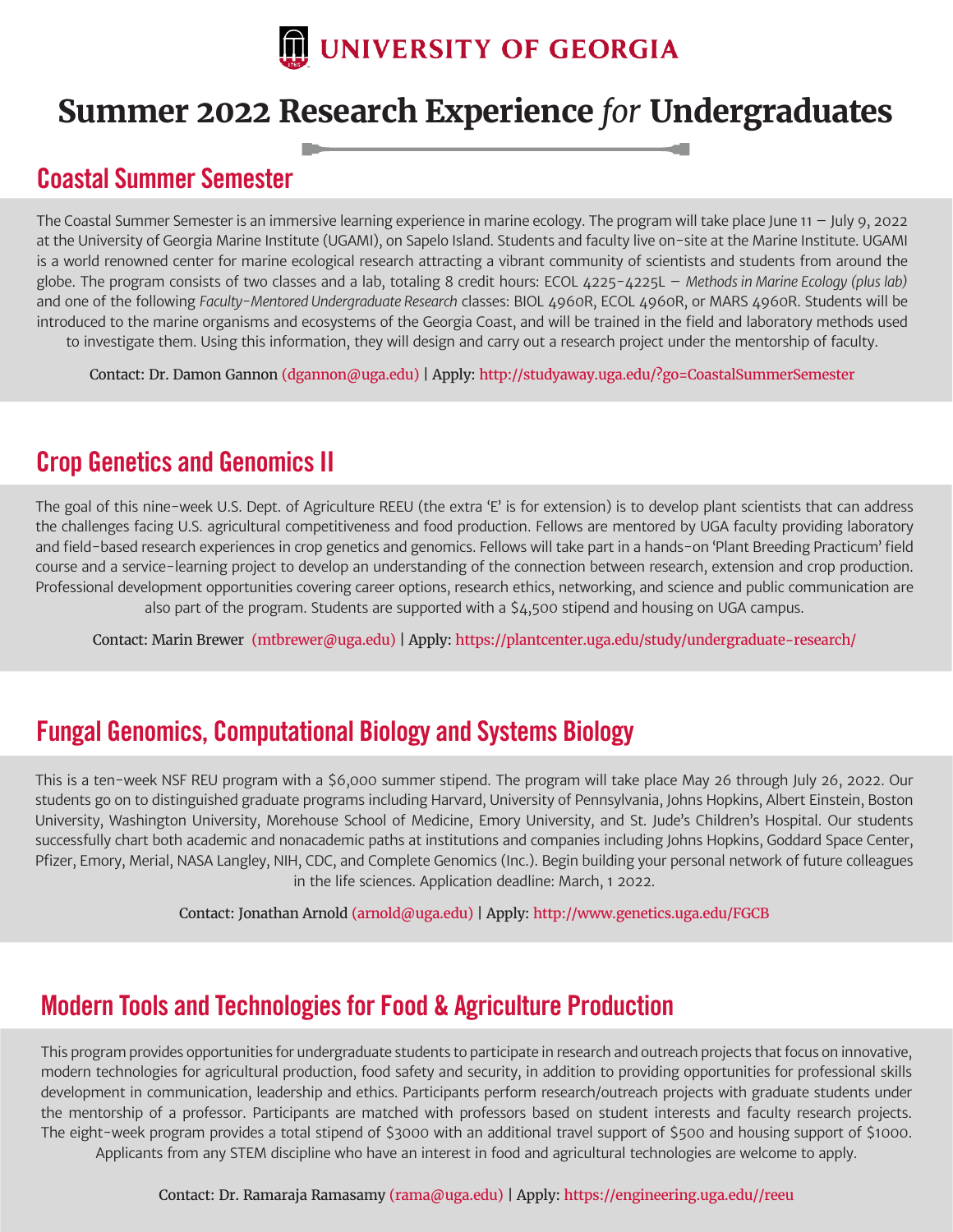

## **Summer 2022 Research Experience** *for* **Undergraduates**

## **Coastal Summer Semester**

The Coastal Summer Semester is an immersive learning experience in marine ecology. The program will take place June 11 – July 9, 2022 at the University of Georgia Marine Institute (UGAMI), on Sapelo Island. Students and faculty live on-site at the Marine Institute. UGAMI is a world renowned center for marine ecological research attracting a vibrant community of scientists and students from around the globe. The program consists of two classes and a lab, totaling 8 credit hours: ECOL 4225-4225L – *Methods in Marine Ecology (plus lab)*  and one of the following *Faculty-Mentored Undergraduate Research* classes: BIOL 4960R, ECOL 4960R, or MARS 4960R. Students will be introduced to the marine organisms and ecosystems of the Georgia Coast, and will be trained in the field and laboratory methods used to investigate them. Using this information, they will design and carry out a research project under the mentorship of faculty.

Contact: Dr. Damon Gannon (dgannon@uga.edu) | Apply: http://studyaway.uga.edu/?go=CoastalSummerSemester

## **Crop Genetics and Genomics II**

The goal of this nine-week U.S. Dept. of Agriculture REEU (the extra 'E' is for extension) is to develop plant scientists that can address the challenges facing U.S. agricultural competitiveness and food production. Fellows are mentored by UGA faculty providing laboratory and field-based research experiences in crop genetics and genomics. Fellows will take part in a hands-on 'Plant Breeding Practicum' field course and a service-learning project to develop an understanding of the connection between research, extension and crop production. Professional development opportunities covering career options, research ethics, networking, and science and public communication are also part of the program. Students are supported with a \$4,500 stipend and housing on UGA campus.

Contact: Marin Brewer (mtbrewer@uga.edu) | Apply: https://plantcenter.uga.edu/study/undergraduate-research/

## **Fungal Genomics, Computational Biology and Systems Biology**

This is a ten-week NSF REU program with a \$6,000 summer stipend. The program will take place May 26 through July 26, 2022. Our students go on to distinguished graduate programs including Harvard, University of Pennsylvania, Johns Hopkins, Albert Einstein, Boston University, Washington University, Morehouse School of Medicine, Emory University, and St. Jude's Children's Hospital. Our students successfully chart both academic and nonacademic paths at institutions and companies including Johns Hopkins, Goddard Space Center, Pfizer, Emory, Merial, NASA Langley, NIH, CDC, and Complete Genomics (Inc.). Begin building your personal network of future colleagues in the life sciences. Application deadline: March, 1 2022.

Contact: Jonathan Arnold (arnold@uga.edu) | Apply: http://www.genetics.uga.edu/FGCB

## **Modern Tools and Technologies for Food & Agriculture Production**

This program provides opportunities for undergraduate students to participate in research and outreach projects that focus on innovative, modern technologies for agricultural production, food safety and security, in addition to providing opportunities for professional skills development in communication, leadership and ethics. Participants perform research/outreach projects with graduate students under the mentorship of a professor. Participants are matched with professors based on student interests and faculty research projects. The eight-week program provides a total stipend of \$3000 with an additional travel support of \$500 and housing support of \$1000. Applicants from any STEM discipline who have an interest in food and agricultural technologies are welcome to apply.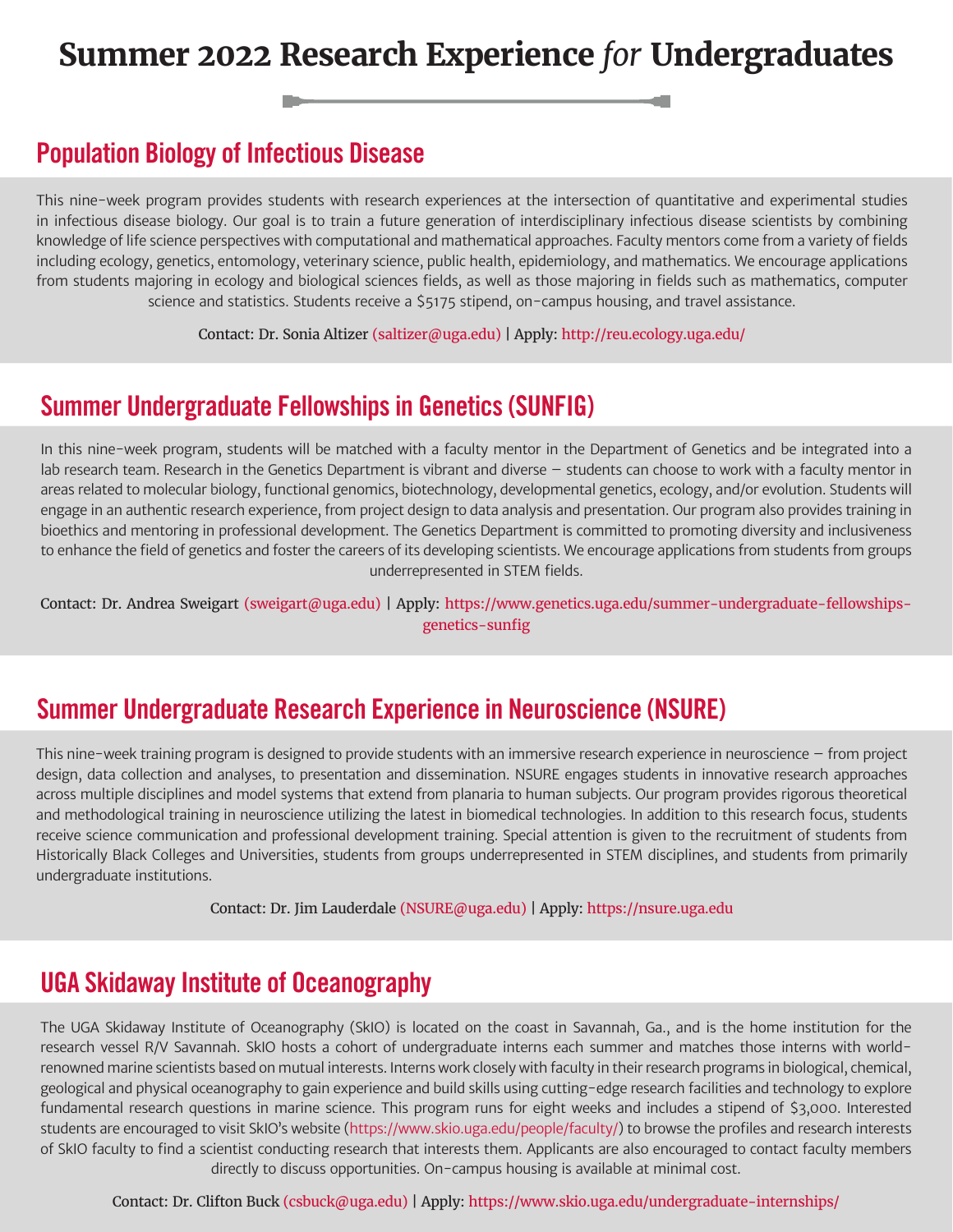## **Summer 2022 Research Experience** *for* **Undergraduates**

#### **Population Biology of Infectious Disease**

This nine-week program provides students with research experiences at the intersection of quantitative and experimental studies in infectious disease biology. Our goal is to train a future generation of interdisciplinary infectious disease scientists by combining knowledge of life science perspectives with computational and mathematical approaches. Faculty mentors come from a variety of fields including ecology, genetics, entomology, veterinary science, public health, epidemiology, and mathematics. We encourage applications from students majoring in ecology and biological sciences fields, as well as those majoring in fields such as mathematics, computer science and statistics. Students receive a \$5175 stipend, on-campus housing, and travel assistance.

Contact: Dr. Sonia Altizer (saltizer@uga.edu) | Apply: http://reu.ecology.uga.edu/

#### **Summer Undergraduate Fellowships in Genetics (SUNFIG)**

In this nine-week program, students will be matched with a faculty mentor in the Department of Genetics and be integrated into a lab research team. Research in the Genetics Department is vibrant and diverse – students can choose to work with a faculty mentor in areas related to molecular biology, functional genomics, biotechnology, developmental genetics, ecology, and/or evolution. Students will engage in an authentic research experience, from project design to data analysis and presentation. Our program also provides training in bioethics and mentoring in professional development. The Genetics Department is committed to promoting diversity and inclusiveness to enhance the field of genetics and foster the careers of its developing scientists. We encourage applications from students from groups underrepresented in STEM fields.

Contact: Dr. Andrea Sweigart (sweigart@uga.edu) | Apply: https://www.genetics.uga.edu/summer-undergraduate-fellowshipsgenetics-sunfig

#### **Summer Undergraduate Research Experience in Neuroscience (NSURE)**

This nine-week training program is designed to provide students with an immersive research experience in neuroscience – from project design, data collection and analyses, to presentation and dissemination. NSURE engages students in innovative research approaches across multiple disciplines and model systems that extend from planaria to human subjects. Our program provides rigorous theoretical and methodological training in neuroscience utilizing the latest in biomedical technologies. In addition to this research focus, students receive science communication and professional development training. Special attention is given to the recruitment of students from Historically Black Colleges and Universities, students from groups underrepresented in STEM disciplines, and students from primarily undergraduate institutions.

Contact: Dr. Jim Lauderdale (NSURE@uga.edu) | Apply: https://nsure.uga.edu

#### **UGA Skidaway Institute of Oceanography**

The UGA Skidaway Institute of Oceanography (SkIO) is located on the coast in Savannah, Ga., and is the home institution for the research vessel R/V Savannah. SkIO hosts a cohort of undergraduate interns each summer and matches those interns with worldrenowned marine scientists based on mutual interests. Interns work closely with faculty in their research programs in biological, chemical, geological and physical oceanography to gain experience and build skills using cutting-edge research facilities and technology to explore fundamental research questions in marine science. This program runs for eight weeks and includes a stipend of \$3,000. Interested students are encouraged to visit SkIO's website (https://www.skio.uga.edu/people/faculty/) to browse the profiles and research interests of SkIO faculty to find a scientist conducting research that interests them. Applicants are also encouraged to contact faculty members directly to discuss opportunities. On-campus housing is available at minimal cost.

Contact: Dr. Clifton Buck (csbuck@uga.edu) | Apply: https://www.skio.uga.edu/undergraduate-internships/